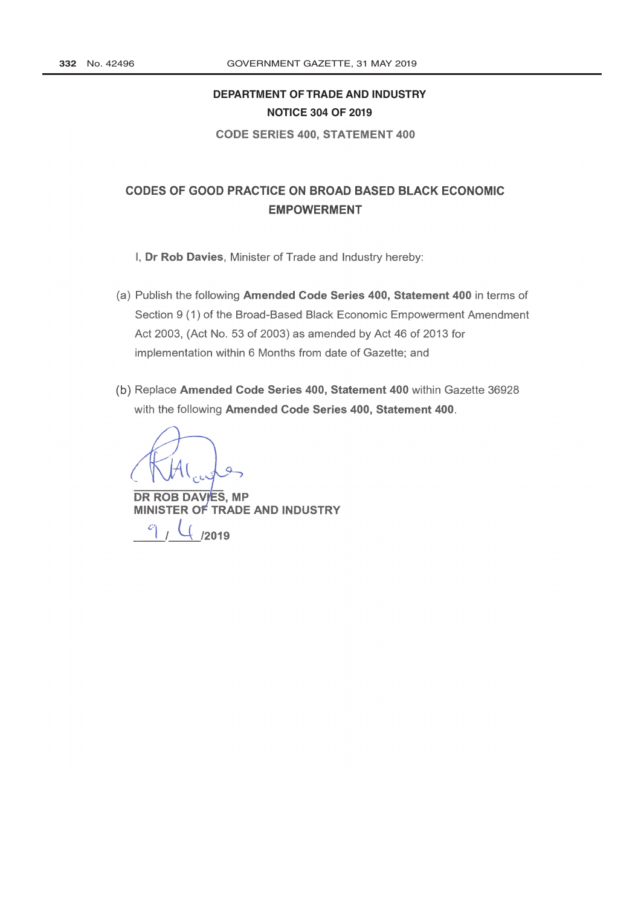## **[DEPARTMENT OF TRADE AND INDUSTRY](http://www.greengazette.co.za/departments/dti) NOTICE 304 OF 2019**

CODE SERIES 400, STATEMENT 400

## **CODES OF GOOD PRACTICE ON BROAD BASED BLACK ECONOMIC EMPOWERMENT**

- I, Dr Rob Davies, Minister of Trade and Industry hereby:
- (a) Publish the following Amended Code Series 400, Statement 400 in terms of Section 9 (1) of the Broad -Based Black Economic Empowerment Amendment Act 2003, (Act No. 53 of 2003) as amended by Act 46 of 2013 for implementation within 6 Months from date of Gazette; and
- (b) Replace Amended Code Series 400, Statement 400 within Gazette 36928 with the following Amended Code Series 400, Statement 400.

DR ROB DAVIES, MP MINISTER OF TRADE AND INDUSTRY

 $/$   $\frac{1}{2019}$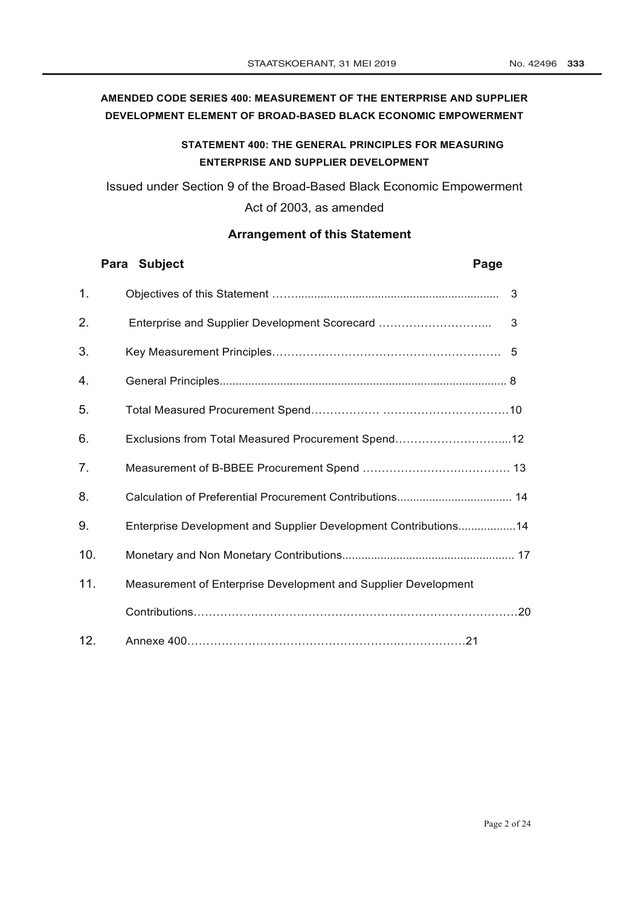## **AMENDED CODE SERIES 400: MEASUREMENT OF THE ENTERPRISE AND SUPPLIER DEVELOPMENT ELEMENT OF BROAD-BASED BLACK ECONOMIC EMPOWERMENT**

## **STATEMENT 400: THE GENERAL PRINCIPLES FOR MEASURING ENTERPRISE AND SUPPLIER DEVELOPMENT**

Issued under Section 9 of the [Broad-Based Black Economic Empowerment](http://www.greengazette.co.za/acts/broad-based-black-economic-empowerment-act_2003-053) [Act](http://www.greengazette.co.za/acts/broad-based-black-economic-empowerment-act_2003-053) of 2003, as amended

## **Arrangement of this Statement**

|     | Para Subject<br>Page                                            |  |
|-----|-----------------------------------------------------------------|--|
| 1.  | 3                                                               |  |
| 2.  | 3<br>Enterprise and Supplier Development Scorecard              |  |
| 3.  |                                                                 |  |
| 4.  |                                                                 |  |
| 5.  |                                                                 |  |
| 6.  | Exclusions from Total Measured Procurement Spend12              |  |
| 7.  |                                                                 |  |
| 8.  |                                                                 |  |
| 9.  | Enterprise Development and Supplier Development Contributions14 |  |
| 10. |                                                                 |  |
| 11. | Measurement of Enterprise Development and Supplier Development  |  |
|     |                                                                 |  |
| 12. |                                                                 |  |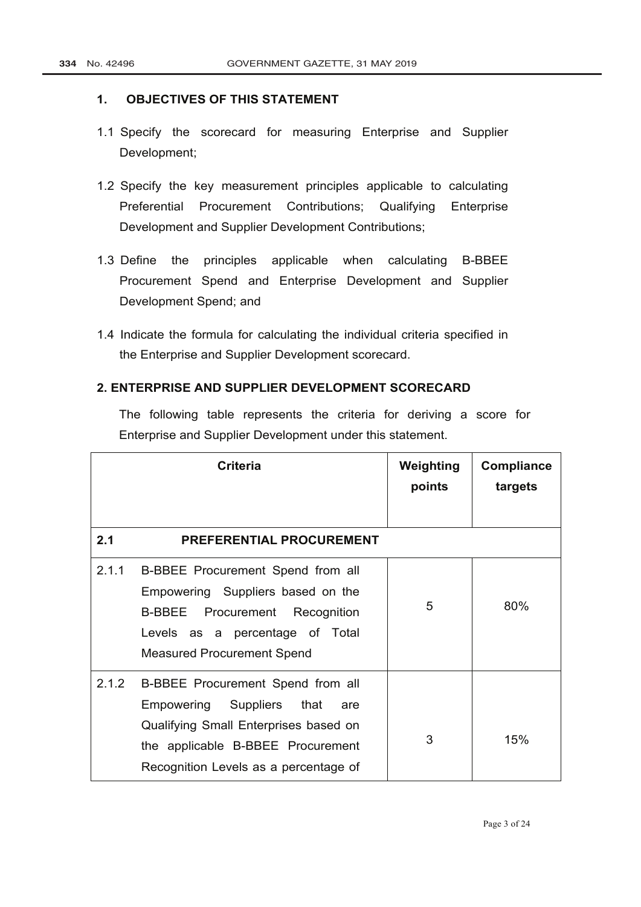#### **1. OBJECTIVES OF THIS STATEMENT**

- 1.1 Specify the scorecard for measuring Enterprise and Supplier Development;
- 1.2 Specify the key measurement principles applicable to calculating Preferential Procurement Contributions; Qualifying Enterprise Development and Supplier Development Contributions;
- 1.3 Define the principles applicable when calculating B-BBEE Procurement Spend and Enterprise Development and Supplier Development Spend; and
- 1.4 Indicate the formula for calculating the individual criteria specified in the Enterprise and Supplier Development scorecard.

#### **2. ENTERPRISE AND SUPPLIER DEVELOPMENT SCORECARD**

The following table represents the criteria for deriving a score for Enterprise and Supplier Development under this statement.

|       | <b>Criteria</b>                                                                                                                                                                              | Weighting<br>points | <b>Compliance</b><br>targets |
|-------|----------------------------------------------------------------------------------------------------------------------------------------------------------------------------------------------|---------------------|------------------------------|
| 2.1   | <b>PREFERENTIAL PROCUREMENT</b>                                                                                                                                                              |                     |                              |
| 2.1.1 | B-BBEE Procurement Spend from all<br>Empowering Suppliers based on the<br><b>B-BBEE</b><br>Procurement Recognition<br>Levels as a percentage of Total<br><b>Measured Procurement Spend</b>   | 5                   | 80%                          |
| 2.1.2 | B-BBEE Procurement Spend from all<br>Empowering Suppliers that<br>are<br>Qualifying Small Enterprises based on<br>the applicable B-BBEE Procurement<br>Recognition Levels as a percentage of | 3                   | 15%                          |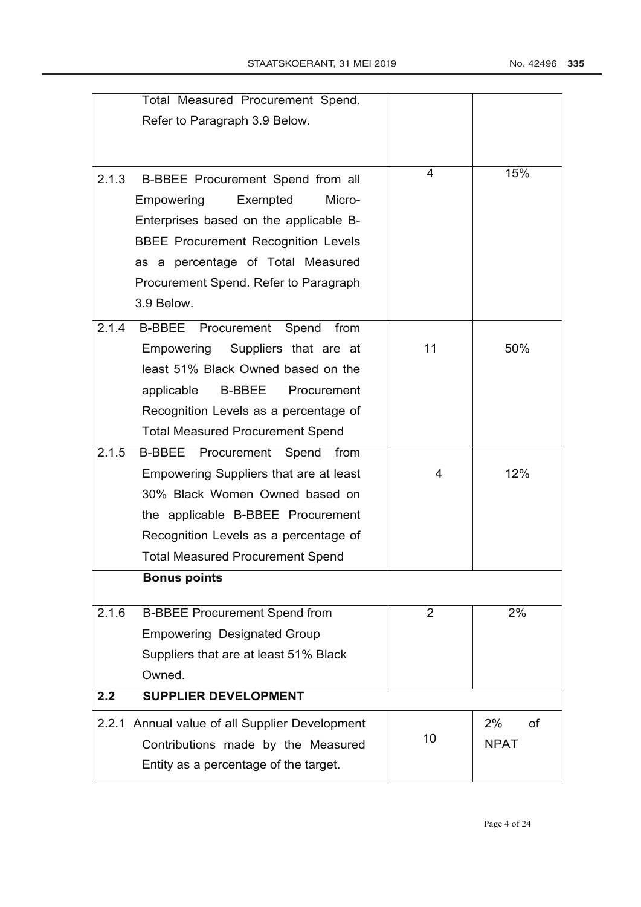|       | Total Measured Procurement Spend.              |                |             |
|-------|------------------------------------------------|----------------|-------------|
|       | Refer to Paragraph 3.9 Below.                  |                |             |
|       |                                                |                |             |
|       |                                                |                |             |
| 2.1.3 | B-BBEE Procurement Spend from all              | 4              | 15%         |
|       | Empowering<br>Micro-<br>Exempted               |                |             |
|       | Enterprises based on the applicable B-         |                |             |
|       | <b>BBEE Procurement Recognition Levels</b>     |                |             |
|       | as a percentage of Total Measured              |                |             |
|       | Procurement Spend. Refer to Paragraph          |                |             |
|       | 3.9 Below.                                     |                |             |
| 2.1.4 | B-BBEE Procurement Spend from                  |                |             |
|       | Empowering Suppliers that are at               | 11             | 50%         |
|       | least 51% Black Owned based on the             |                |             |
|       | applicable<br><b>B-BBEE</b> Procurement        |                |             |
|       | Recognition Levels as a percentage of          |                |             |
|       | <b>Total Measured Procurement Spend</b>        |                |             |
| 2.1.5 | <b>B-BBEE</b><br>Spend<br>Procurement<br>from  |                |             |
|       | Empowering Suppliers that are at least         | 4              | 12%         |
|       | 30% Black Women Owned based on                 |                |             |
|       | the applicable B-BBEE Procurement              |                |             |
|       | Recognition Levels as a percentage of          |                |             |
|       | <b>Total Measured Procurement Spend</b>        |                |             |
|       | <b>Bonus points</b>                            |                |             |
| 2.1.6 | <b>B-BBEE Procurement Spend from</b>           | $\overline{2}$ | 2%          |
|       | <b>Empowering Designated Group</b>             |                |             |
|       | Suppliers that are at least 51% Black          |                |             |
|       | Owned.                                         |                |             |
| 2.2   | <b>SUPPLIER DEVELOPMENT</b>                    |                |             |
|       | 2.2.1 Annual value of all Supplier Development |                | 2%<br>οf    |
|       | Contributions made by the Measured             | 10             | <b>NPAT</b> |
|       | Entity as a percentage of the target.          |                |             |
|       |                                                |                |             |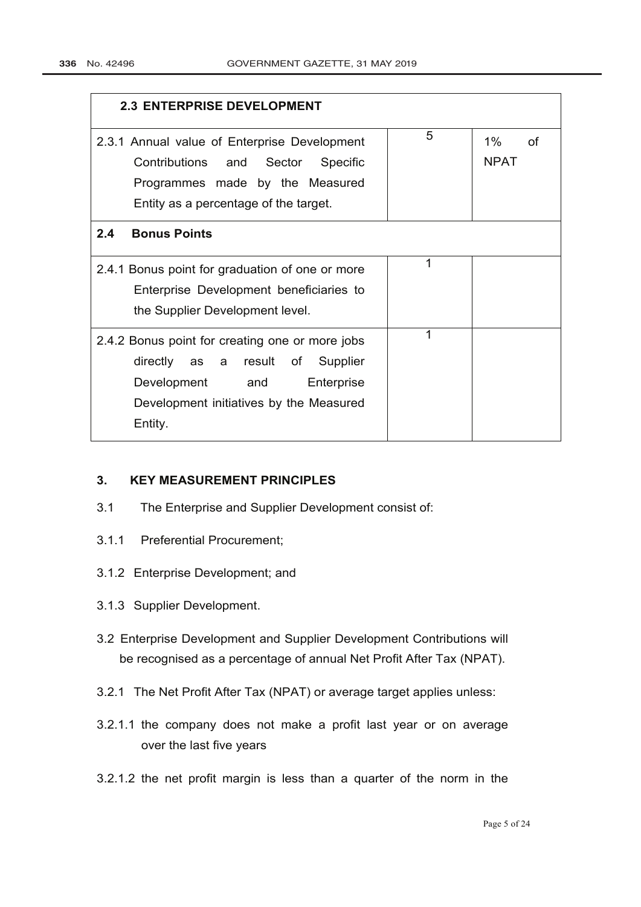| <b>2.3 ENTERPRISE DEVELOPMENT</b>                                                                                                                                             |   |                         |  |
|-------------------------------------------------------------------------------------------------------------------------------------------------------------------------------|---|-------------------------|--|
| 2.3.1 Annual value of Enterprise Development<br>Contributions and Sector<br>Specific<br>Programmes made by the Measured<br>Entity as a percentage of the target.              | 5 | 1%<br>of<br><b>NPAT</b> |  |
| 2.4<br><b>Bonus Points</b>                                                                                                                                                    |   |                         |  |
| 2.4.1 Bonus point for graduation of one or more<br>Enterprise Development beneficiaries to<br>the Supplier Development level.                                                 | 1 |                         |  |
| 2.4.2 Bonus point for creating one or more jobs<br>directly as a result of<br>Supplier<br>Development and<br>Enterprise<br>Development initiatives by the Measured<br>Entity. | 1 |                         |  |

## **3. KEY MEASUREMENT PRINCIPLES**

- 3.1 The Enterprise and Supplier Development consist of:
- 3.1.1 Preferential Procurement;
- 3.1.2 Enterprise Development; and
- 3.1.3 Supplier Development.
- 3.2 Enterprise Development and Supplier Development Contributions will be recognised as a percentage of annual Net Profit After Tax (NPAT).
- 3.2.1 The Net Profit After Tax (NPAT) or average target applies unless:
- 3.2.1.1 the company does not make a profit last year or on average over the last five years
- 3.2.1.2 the net profit margin is less than a quarter of the norm in the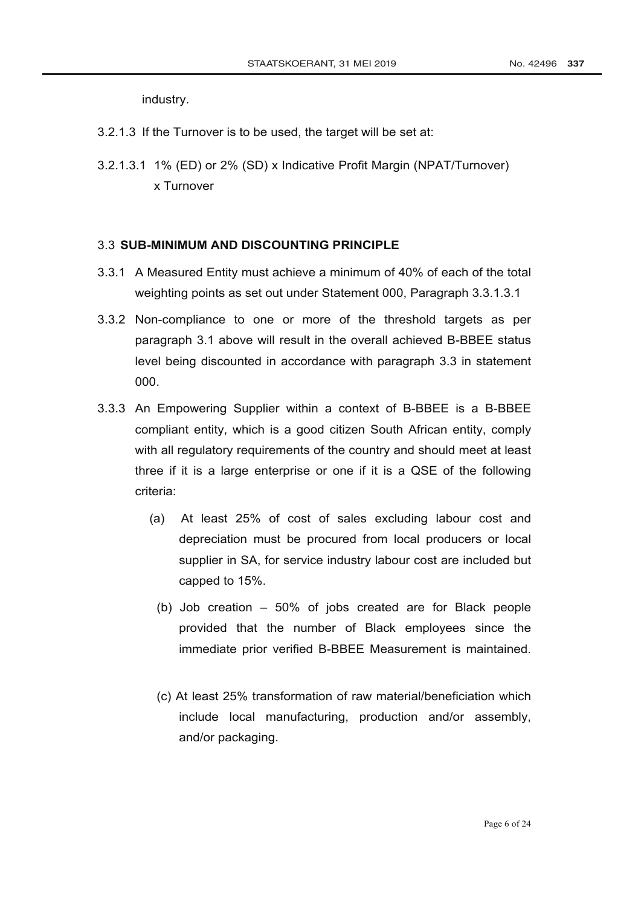industry.

- 3.2.1.3 If the Turnover is to be used, the target will be set at:
- 3.2.1.3.1 1% (ED) or 2% (SD) x Indicative Profit Margin (NPAT/Turnover) x Turnover

#### 3.3 **SUB-MINIMUM AND DISCOUNTING PRINCIPLE**

- 3.3.1 A Measured Entity must achieve a minimum of 40% of each of the total weighting points as set out under Statement 000, Paragraph 3.3.1.3.1
- 3.3.2 Non-compliance to one or more of the threshold targets as per paragraph 3.1 above will result in the overall achieved B-BBEE status level being discounted in accordance with paragraph 3.3 in statement 000.
- 3.3.3 An Empowering Supplier within a context of B-BBEE is a B-BBEE compliant entity, which is a good citizen South African entity, comply with all regulatory requirements of the country and should meet at least three if it is a large enterprise or one if it is a QSE of the following criteria:
	- (a) At least 25% of cost of sales excluding labour cost and depreciation must be procured from local producers or local supplier in SA, for service industry labour cost are included but capped to 15%.
		- (b) Job creation 50% of jobs created are for Black people provided that the number of Black employees since the immediate prior verified B-BBEE Measurement is maintained.
		- (c) At least 25% transformation of raw material/beneficiation which include local manufacturing, production and/or assembly, and/or packaging.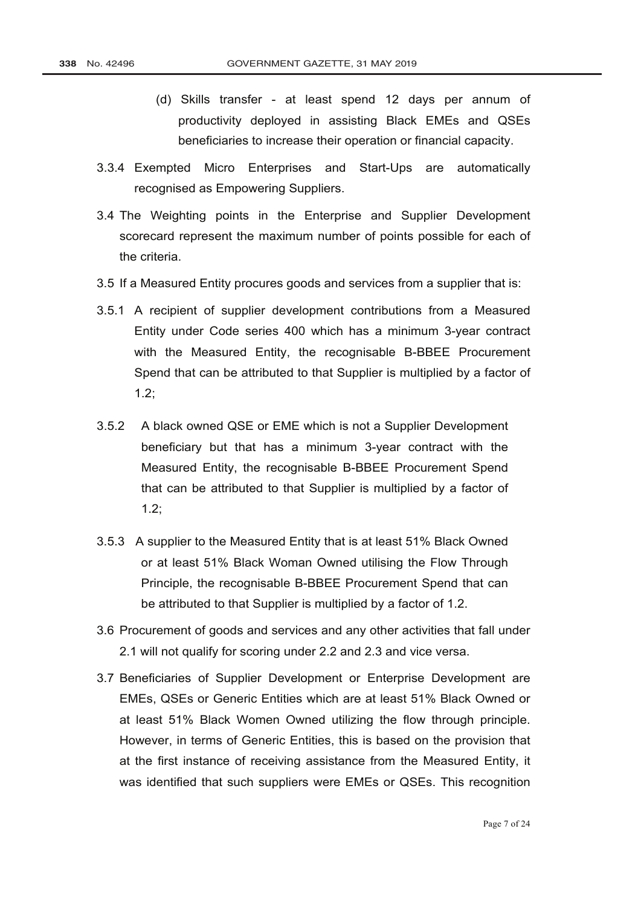- (d) Skills transfer at least spend 12 days per annum of productivity deployed in assisting Black EMEs and QSEs beneficiaries to increase their operation or financial capacity.
- 3.3.4 Exempted Micro Enterprises and Start-Ups are automatically recognised as Empowering Suppliers.
- 3.4 The Weighting points in the Enterprise and Supplier Development scorecard represent the maximum number of points possible for each of the criteria.
- 3.5 If a Measured Entity procures goods and services from a supplier that is:
- 3.5.1 A recipient of supplier development contributions from a Measured Entity under Code series 400 which has a minimum 3-year contract with the Measured Entity, the recognisable B-BBEE Procurement Spend that can be attributed to that Supplier is multiplied by a factor of 1.2;
- 3.5.2 A black owned QSE or EME which is not a Supplier Development beneficiary but that has a minimum 3-year contract with the Measured Entity, the recognisable B-BBEE Procurement Spend that can be attributed to that Supplier is multiplied by a factor of 1.2;
- 3.5.3 A supplier to the Measured Entity that is at least 51% Black Owned or at least 51% Black Woman Owned utilising the Flow Through Principle, the recognisable B-BBEE Procurement Spend that can be attributed to that Supplier is multiplied by a factor of 1.2.
- 3.6 Procurement of goods and services and any other activities that fall under 2.1 will not qualify for scoring under 2.2 and 2.3 and vice versa.
- 3.7 Beneficiaries of Supplier Development or Enterprise Development are EMEs, QSEs or Generic Entities which are at least 51% Black Owned or at least 51% Black Women Owned utilizing the flow through principle. However, in terms of Generic Entities, this is based on the provision that at the first instance of receiving assistance from the Measured Entity, it was identified that such suppliers were EMEs or QSEs. This recognition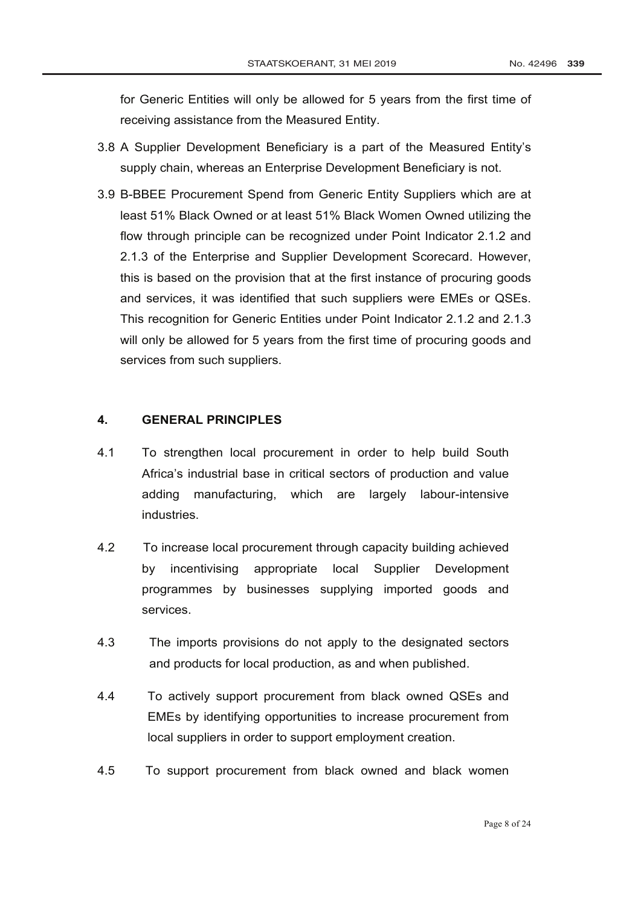for Generic Entities will only be allowed for 5 years from the first time of receiving assistance from the Measured Entity.

- 3.8 A Supplier Development Beneficiary is a part of the Measured Entity's supply chain, whereas an Enterprise Development Beneficiary is not.
- 3.9 B-BBEE Procurement Spend from Generic Entity Suppliers which are at least 51% Black Owned or at least 51% Black Women Owned utilizing the flow through principle can be recognized under Point Indicator 2.1.2 and 2.1.3 of the Enterprise and Supplier Development Scorecard. However, this is based on the provision that at the first instance of procuring goods and services, it was identified that such suppliers were EMEs or QSEs. This recognition for Generic Entities under Point Indicator 2.1.2 and 2.1.3 will only be allowed for 5 years from the first time of procuring goods and services from such suppliers.

### **4. GENERAL PRINCIPLES**

- 4.1 To strengthen local procurement in order to help build South Africa's industrial base in critical sectors of production and value adding manufacturing, which are largely labour-intensive industries.
- 4.2 To increase local procurement through capacity building achieved by incentivising appropriate local Supplier Development programmes by businesses supplying imported goods and services.
- 4.3 The imports provisions do not apply to the designated sectors and products for local production, as and when published.
- 4.4 To actively support procurement from black owned QSEs and EMEs by identifying opportunities to increase procurement from local suppliers in order to support employment creation.
- 4.5 To support procurement from black owned and black women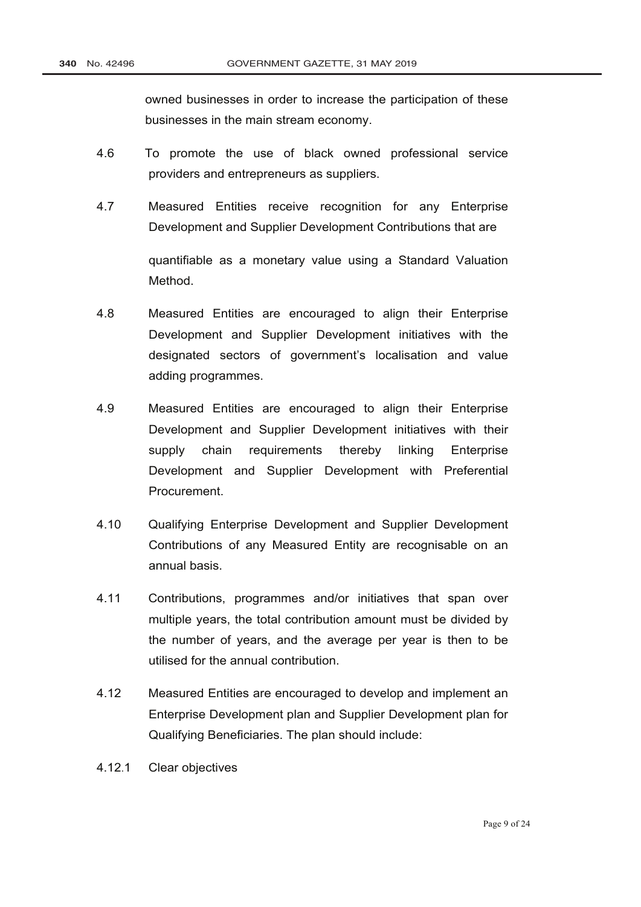owned businesses in order to increase the participation of these businesses in the main stream economy.

- 4.6 To promote the use of black owned professional service providers and entrepreneurs as suppliers.
- 4.7 Measured Entities receive recognition for any Enterprise Development and Supplier Development Contributions that are quantifiable as a monetary value using a Standard Valuation Method.
- 4.8 Measured Entities are encouraged to align their Enterprise Development and Supplier Development initiatives with the designated sectors of government's localisation and value adding programmes.
- 4.9 Measured Entities are encouraged to align their Enterprise Development and Supplier Development initiatives with their supply chain requirements thereby linking Enterprise Development and Supplier Development with Preferential Procurement.
- 4.10 Qualifying Enterprise Development and Supplier Development Contributions of any Measured Entity are recognisable on an annual basis.
- 4.11 Contributions, programmes and/or initiatives that span over multiple years, the total contribution amount must be divided by the number of years, and the average per year is then to be utilised for the annual contribution.
- 4.12 Measured Entities are encouraged to develop and implement an Enterprise Development plan and Supplier Development plan for Qualifying Beneficiaries. The plan should include:
- 4.12.1 Clear objectives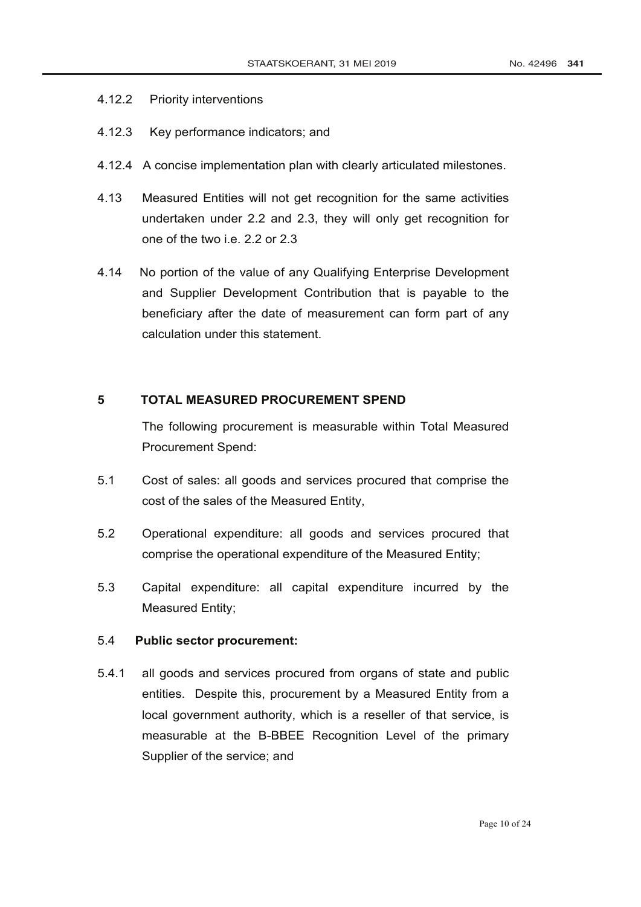### 4.12.2 Priority interventions

- 4.12.3 Key performance indicators; and
- 4.12.4 A concise implementation plan with clearly articulated milestones.
- 4.13 Measured Entities will not get recognition for the same activities undertaken under 2.2 and 2.3, they will only get recognition for one of the two i.e. 2.2 or 2.3
- 4.14 No portion of the value of any Qualifying Enterprise Development and Supplier Development Contribution that is payable to the beneficiary after the date of measurement can form part of any calculation under this statement.

## **5 TOTAL MEASURED PROCUREMENT SPEND**

The following procurement is measurable within Total Measured Procurement Spend:

- 5.1 Cost of sales: all goods and services procured that comprise the cost of the sales of the Measured Entity,
- 5.2 Operational expenditure: all goods and services procured that comprise the operational expenditure of the Measured Entity;
- 5.3 Capital expenditure: all capital expenditure incurred by the Measured Entity;

## 5.4 **Public sector procurement:**

5.4.1 all goods and services procured from organs of state and public entities. Despite this, procurement by a Measured Entity from a local government authority, which is a reseller of that service, is measurable at the B-BBEE Recognition Level of the primary Supplier of the service; and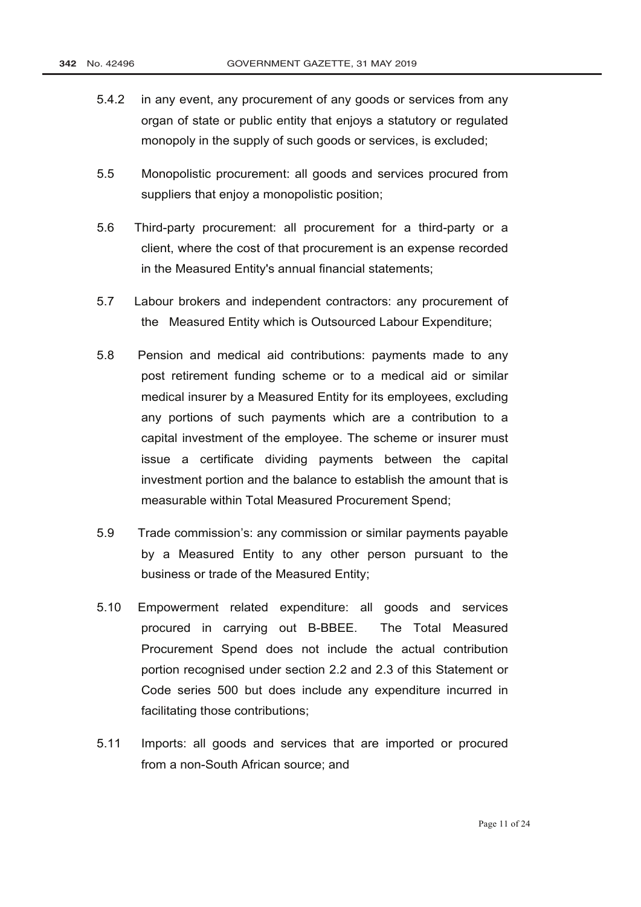- 5.4.2 in any event, any procurement of any goods or services from any organ of state or public entity that enjoys a statutory or regulated monopoly in the supply of such goods or services, is excluded;
- 5.5 Monopolistic procurement: all goods and services procured from suppliers that enjoy a monopolistic position;
- 5.6 Third-party procurement: all procurement for a third-party or a client, where the cost of that procurement is an expense recorded in the Measured Entity's annual financial statements;
- 5.7 Labour brokers and independent contractors: any procurement of the Measured Entity which is Outsourced Labour Expenditure;
- 5.8 Pension and medical aid contributions: payments made to any post retirement funding scheme or to a medical aid or similar medical insurer by a Measured Entity for its employees, excluding any portions of such payments which are a contribution to a capital investment of the employee. The scheme or insurer must issue a certificate dividing payments between the capital investment portion and the balance to establish the amount that is measurable within Total Measured Procurement Spend;
- 5.9 Trade commission's: any commission or similar payments payable by a Measured Entity to any other person pursuant to the business or trade of the Measured Entity;
- 5.10 Empowerment related expenditure: all goods and services procured in carrying out B-BBEE. The Total Measured Procurement Spend does not include the actual contribution portion recognised under section 2.2 and 2.3 of this Statement or Code series 500 but does include any expenditure incurred in facilitating those contributions;
- 5.11 Imports: all goods and services that are imported or procured from a non-South African source; and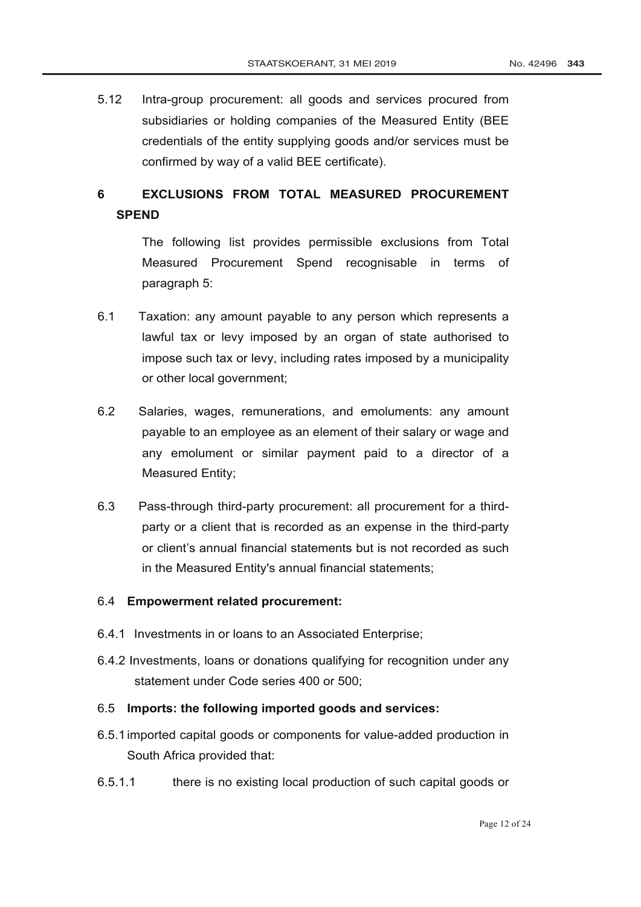5.12 Intra-group procurement: all goods and services procured from subsidiaries or holding companies of the Measured Entity (BEE credentials of the entity supplying goods and/or services must be confirmed by way of a valid BEE certificate).

# **6 EXCLUSIONS FROM TOTAL MEASURED PROCUREMENT SPEND**

The following list provides permissible exclusions from Total Measured Procurement Spend recognisable in terms of paragraph 5:

- 6.1 Taxation: any amount payable to any person which represents a lawful tax or levy imposed by an organ of state authorised to impose such tax or levy, including rates imposed by a municipality or other local government;
- 6.2 Salaries, wages, remunerations, and emoluments: any amount payable to an employee as an element of their salary or wage and any emolument or similar payment paid to a director of a Measured Entity;
- 6.3 Pass-through third-party procurement: all procurement for a thirdparty or a client that is recorded as an expense in the third-party or client's annual financial statements but is not recorded as such in the Measured Entity's annual financial statements;

#### 6.4 **Empowerment related procurement:**

- 6.4.1 Investments in or loans to an Associated Enterprise;
- 6.4.2 Investments, loans or donations qualifying for recognition under any statement under Code series 400 or 500;
- 6.5 **Imports: the following imported goods and services:**
- 6.5.1imported capital goods or components for value-added production in South Africa provided that:
- 6.5.1.1 there is no existing local production of such capital goods or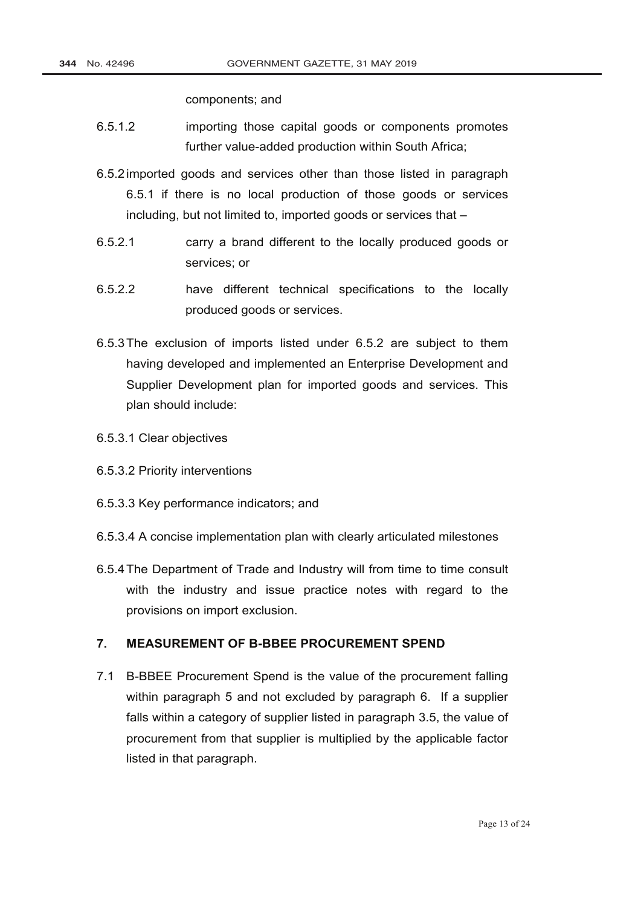components; and

- 6.5.1.2 importing those capital goods or components promotes further value-added production within South Africa;
- 6.5.2imported goods and services other than those listed in paragraph 6.5.1 if there is no local production of those goods or services including, but not limited to, imported goods or services that –
- 6.5.2.1 carry a brand different to the locally produced goods or services; or
- 6.5.2.2 have different technical specifications to the locally produced goods or services.
- 6.5.3The exclusion of imports listed under 6.5.2 are subject to them having developed and implemented an Enterprise Development and Supplier Development plan for imported goods and services. This plan should include:
- 6.5.3.1 Clear objectives
- 6.5.3.2 Priority interventions
- 6.5.3.3 Key performance indicators; and
- 6.5.3.4 A concise implementation plan with clearly articulated milestones
- 6.5.4The [Department of Trade and Industry](http://www.greengazette.co.za/departments/dti) will from time to time consult with the industry and issue practice notes with regard to the provisions on import exclusion.

### **7. MEASUREMENT OF B-BBEE PROCUREMENT SPEND**

7.1 B-BBEE Procurement Spend is the value of the procurement falling within paragraph 5 and not excluded by paragraph 6. If a supplier falls within a category of supplier listed in paragraph 3.5, the value of procurement from that supplier is multiplied by the applicable factor listed in that paragraph.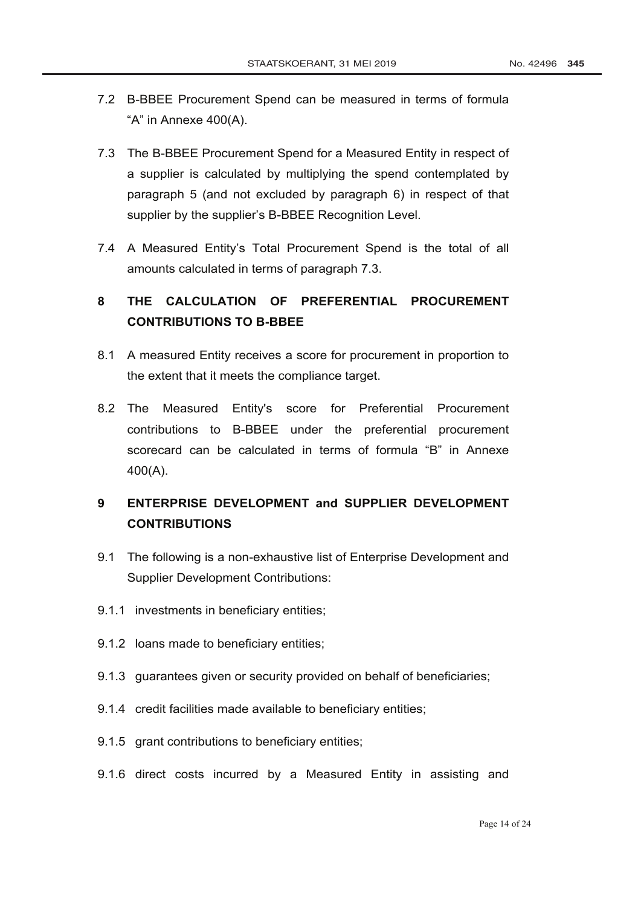- 7.2 B-BBEE Procurement Spend can be measured in terms of formula "A" in Annexe 400(A).
- 7.3 The B-BBEE Procurement Spend for a Measured Entity in respect of a supplier is calculated by multiplying the spend contemplated by paragraph 5 (and not excluded by paragraph 6) in respect of that supplier by the supplier's B-BBEE Recognition Level.
- 7.4 A Measured Entity's Total Procurement Spend is the total of all amounts calculated in terms of paragraph 7.3.

# **8 THE CALCULATION OF PREFERENTIAL PROCUREMENT CONTRIBUTIONS TO B-BBEE**

- 8.1 A measured Entity receives a score for procurement in proportion to the extent that it meets the compliance target.
- 8.2 The Measured Entity's score for Preferential Procurement contributions to B-BBEE under the preferential procurement scorecard can be calculated in terms of formula "B" in Annexe 400(A).

# **9 ENTERPRISE DEVELOPMENT and SUPPLIER DEVELOPMENT CONTRIBUTIONS**

- 9.1 The following is a non-exhaustive list of Enterprise Development and Supplier Development Contributions:
- 9.1.1 investments in beneficiary entities;
- 9.1.2 loans made to beneficiary entities;
- 9.1.3 guarantees given or security provided on behalf of beneficiaries;
- 9.1.4 credit facilities made available to beneficiary entities;
- 9.1.5 grant contributions to beneficiary entities;
- 9.1.6 direct costs incurred by a Measured Entity in assisting and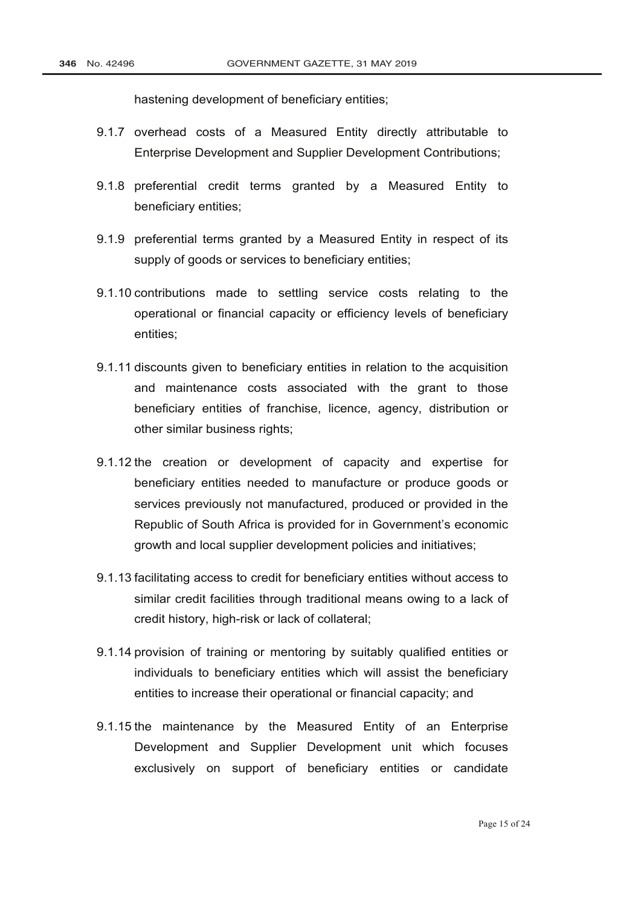hastening development of beneficiary entities;

- 9.1.7 overhead costs of a Measured Entity directly attributable to Enterprise Development and Supplier Development Contributions;
- 9.1.8 preferential credit terms granted by a Measured Entity to beneficiary entities;
- 9.1.9 preferential terms granted by a Measured Entity in respect of its supply of goods or services to beneficiary entities;
- 9.1.10 contributions made to settling service costs relating to the operational or financial capacity or efficiency levels of beneficiary entities;
- 9.1.11 discounts given to beneficiary entities in relation to the acquisition and maintenance costs associated with the grant to those beneficiary entities of franchise, licence, agency, distribution or other similar business rights;
- 9.1.12 the creation or development of capacity and expertise for beneficiary entities needed to manufacture or produce goods or services previously not manufactured, produced or provided in the Republic of South Africa is provided for in Government's economic growth and local supplier development policies and initiatives;
- 9.1.13 facilitating access to credit for beneficiary entities without access to similar credit facilities through traditional means owing to a lack of credit history, high-risk or lack of collateral;
- 9.1.14 provision of training or mentoring by suitably qualified entities or individuals to beneficiary entities which will assist the beneficiary entities to increase their operational or financial capacity; and
- 9.1.15 the maintenance by the Measured Entity of an Enterprise Development and Supplier Development unit which focuses exclusively on support of beneficiary entities or candidate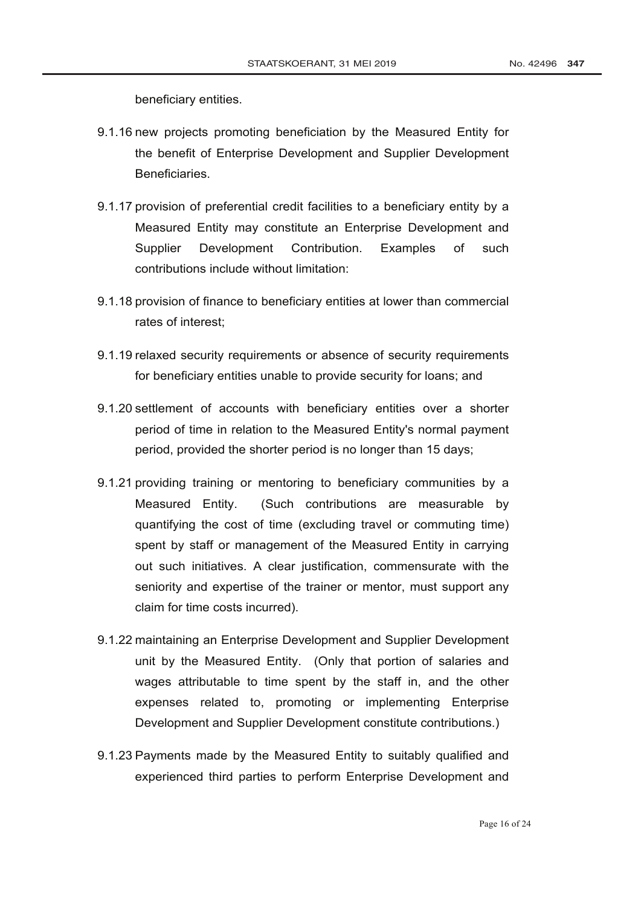beneficiary entities.

- 9.1.16 new projects promoting beneficiation by the Measured Entity for the benefit of Enterprise Development and Supplier Development Beneficiaries.
- 9.1.17 provision of preferential credit facilities to a beneficiary entity by a Measured Entity may constitute an Enterprise Development and Supplier Development Contribution. Examples of such contributions include without limitation:
- 9.1.18 provision of finance to beneficiary entities at lower than commercial rates of interest;
- 9.1.19 relaxed security requirements or absence of security requirements for beneficiary entities unable to provide security for loans; and
- 9.1.20 settlement of accounts with beneficiary entities over a shorter period of time in relation to the Measured Entity's normal payment period, provided the shorter period is no longer than 15 days;
- 9.1.21 providing training or mentoring to beneficiary communities by a Measured Entity. (Such contributions are measurable by quantifying the cost of time (excluding travel or commuting time) spent by staff or management of the Measured Entity in carrying out such initiatives. A clear justification, commensurate with the seniority and expertise of the trainer or mentor, must support any claim for time costs incurred).
- 9.1.22 maintaining an Enterprise Development and Supplier Development unit by the Measured Entity. (Only that portion of salaries and wages attributable to time spent by the staff in, and the other expenses related to, promoting or implementing Enterprise Development and Supplier Development constitute contributions.)
- 9.1.23 Payments made by the Measured Entity to suitably qualified and experienced third parties to perform Enterprise Development and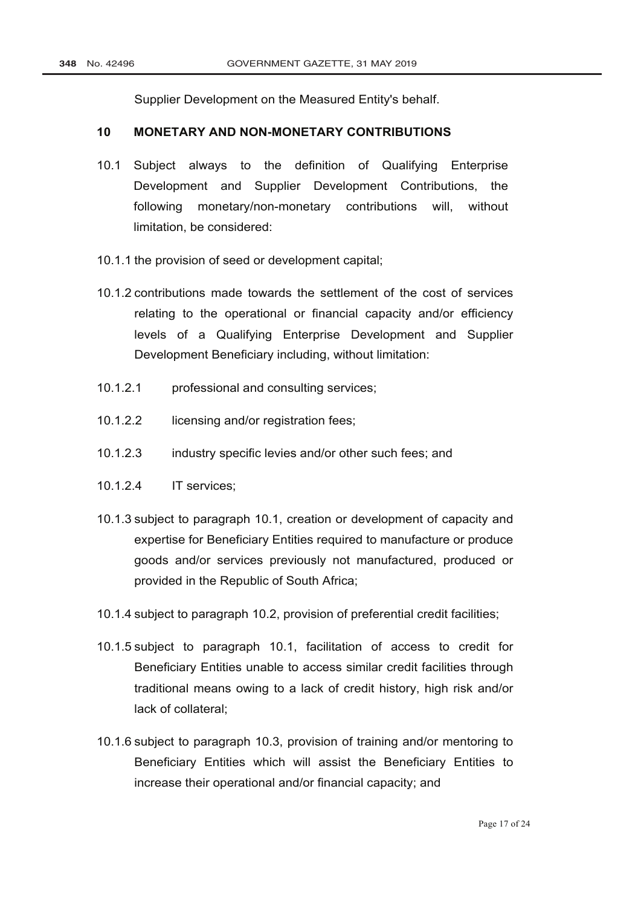Supplier Development on the Measured Entity's behalf.

### **10 MONETARY AND NON-MONETARY CONTRIBUTIONS**

- 10.1 Subject always to the definition of Qualifying Enterprise Development and Supplier Development Contributions, the following monetary/non-monetary contributions will, without limitation, be considered:
- 10.1.1 the provision of seed or development capital;
- 10.1.2 contributions made towards the settlement of the cost of services relating to the operational or financial capacity and/or efficiency levels of a Qualifying Enterprise Development and Supplier Development Beneficiary including, without limitation:
- 10.1.2.1 professional and consulting services;
- 10.1.2.2 licensing and/or registration fees;
- 10.1.2.3 industry specific levies and/or other such fees; and
- 10.1.2.4 IT services;
- 10.1.3 subject to paragraph 10.1, creation or development of capacity and expertise for Beneficiary Entities required to manufacture or produce goods and/or services previously not manufactured, produced or provided in the Republic of South Africa;
- 10.1.4 subject to paragraph 10.2, provision of preferential credit facilities;
- 10.1.5 subject to paragraph 10.1, facilitation of access to credit for Beneficiary Entities unable to access similar credit facilities through traditional means owing to a lack of credit history, high risk and/or lack of collateral;
- 10.1.6 subject to paragraph 10.3, provision of training and/or mentoring to Beneficiary Entities which will assist the Beneficiary Entities to increase their operational and/or financial capacity; and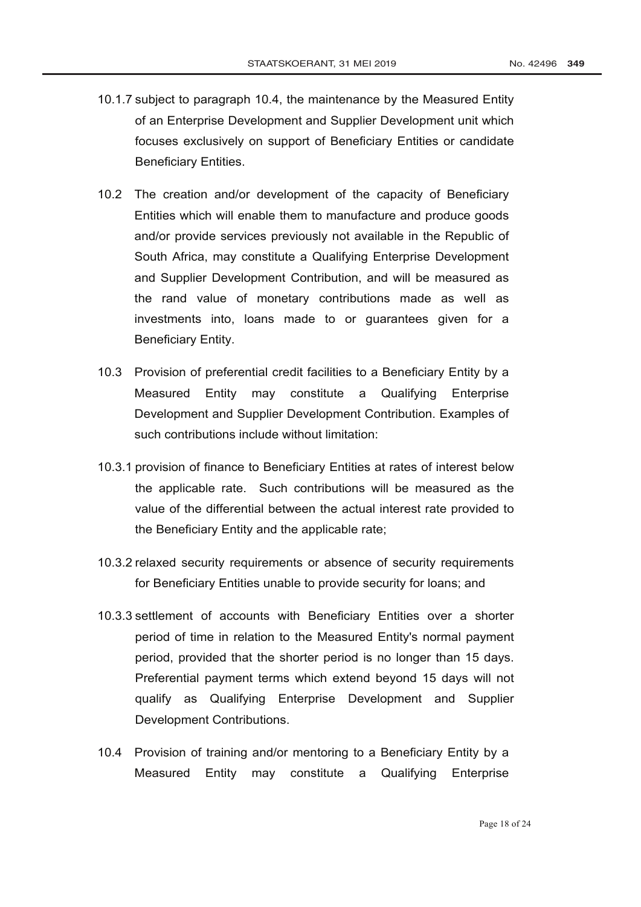- 10.1.7 subject to paragraph 10.4, the maintenance by the Measured Entity of an Enterprise Development and Supplier Development unit which focuses exclusively on support of Beneficiary Entities or candidate Beneficiary Entities.
- 10.2 The creation and/or development of the capacity of Beneficiary Entities which will enable them to manufacture and produce goods and/or provide services previously not available in the Republic of South Africa, may constitute a Qualifying Enterprise Development and Supplier Development Contribution, and will be measured as the rand value of monetary contributions made as well as investments into, loans made to or guarantees given for a Beneficiary Entity.
- 10.3 Provision of preferential credit facilities to a Beneficiary Entity by a Measured Entity may constitute a Qualifying Enterprise Development and Supplier Development Contribution. Examples of such contributions include without limitation:
- 10.3.1 provision of finance to Beneficiary Entities at rates of interest below the applicable rate. Such contributions will be measured as the value of the differential between the actual interest rate provided to the Beneficiary Entity and the applicable rate;
- 10.3.2 relaxed security requirements or absence of security requirements for Beneficiary Entities unable to provide security for loans; and
- 10.3.3 settlement of accounts with Beneficiary Entities over a shorter period of time in relation to the Measured Entity's normal payment period, provided that the shorter period is no longer than 15 days. Preferential payment terms which extend beyond 15 days will not qualify as Qualifying Enterprise Development and Supplier Development Contributions.
- 10.4 Provision of training and/or mentoring to a Beneficiary Entity by a Measured Entity may constitute a Qualifying Enterprise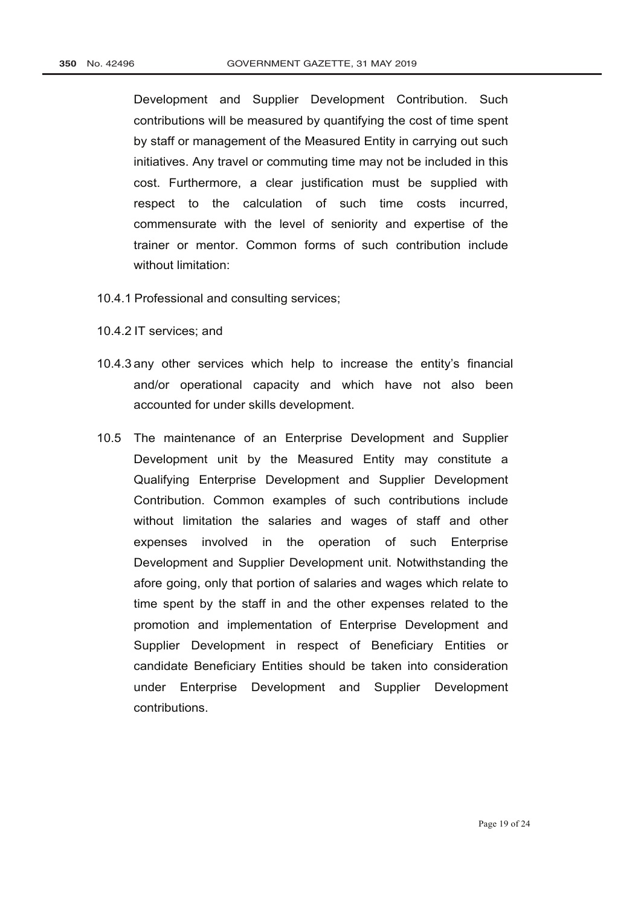Development and Supplier Development Contribution. Such contributions will be measured by quantifying the cost of time spent by staff or management of the Measured Entity in carrying out such initiatives. Any travel or commuting time may not be included in this cost. Furthermore, a clear justification must be supplied with respect to the calculation of such time costs incurred, commensurate with the level of seniority and expertise of the trainer or mentor. Common forms of such contribution include without limitation:

- 10.4.1 Professional and consulting services;
- 10.4.2 IT services; and
- 10.4.3 any other services which help to increase the entity's financial and/or operational capacity and which have not also been accounted for under skills development.
- 10.5 The maintenance of an Enterprise Development and Supplier Development unit by the Measured Entity may constitute a Qualifying Enterprise Development and Supplier Development Contribution. Common examples of such contributions include without limitation the salaries and wages of staff and other expenses involved in the operation of such Enterprise Development and Supplier Development unit. Notwithstanding the afore going, only that portion of salaries and wages which relate to time spent by the staff in and the other expenses related to the promotion and implementation of Enterprise Development and Supplier Development in respect of Beneficiary Entities or candidate Beneficiary Entities should be taken into consideration under Enterprise Development and Supplier Development contributions.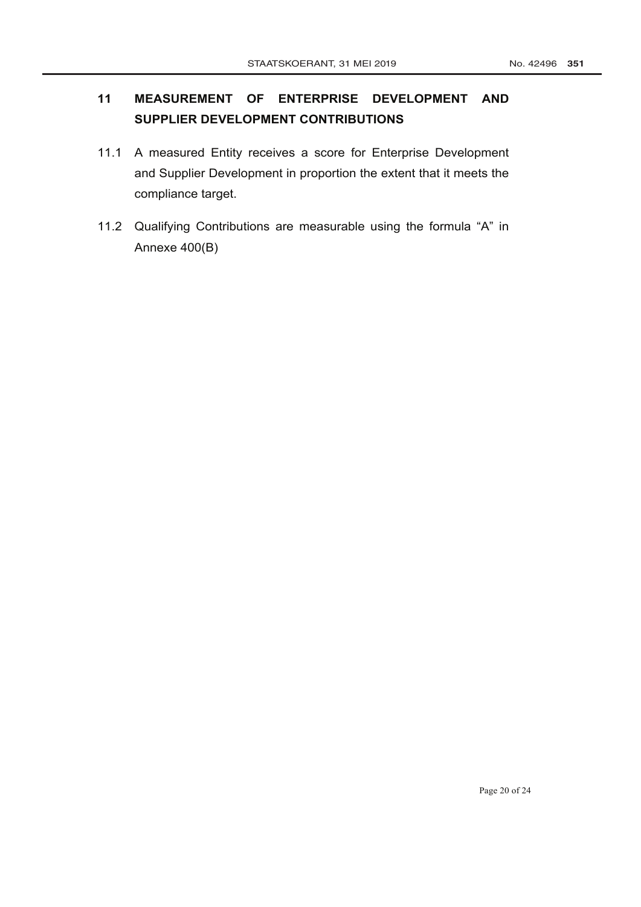# **11 MEASUREMENT OF ENTERPRISE DEVELOPMENT AND SUPPLIER DEVELOPMENT CONTRIBUTIONS**

- 11.1 A measured Entity receives a score for Enterprise Development and Supplier Development in proportion the extent that it meets the compliance target.
- 11.2 Qualifying Contributions are measurable using the formula "A" in Annexe 400(B)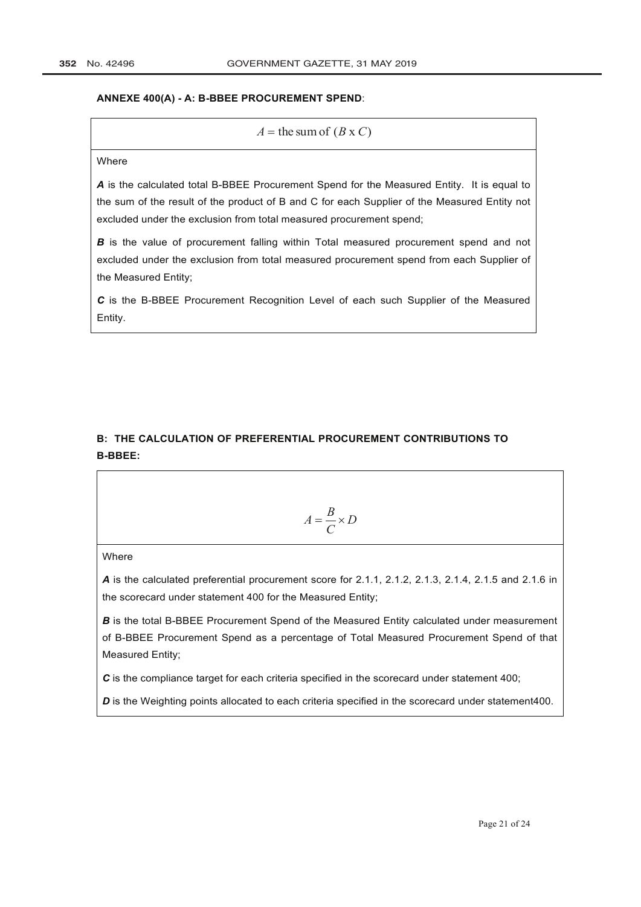#### **ANNEXE 400(A) - A: B-BBEE PROCUREMENT SPEND**:

 $A =$  the sum of  $(B \times C)$ 

#### Where

*A* is the calculated total B-BBEE Procurement Spend for the Measured Entity. It is equal to the sum of the result of the product of B and C for each Supplier of the Measured Entity not excluded under the exclusion from total measured procurement spend;

*B* is the value of procurement falling within Total measured procurement spend and not excluded under the exclusion from total measured procurement spend from each Supplier of the Measured Entity;

*C* is the B-BBEE Procurement Recognition Level of each such Supplier of the Measured Entity.

## **B: THE CALCULATION OF PREFERENTIAL PROCUREMENT CONTRIBUTIONS TO B-BBEE:**

$$
A = \frac{B}{C} \times D
$$

**Where** 

*A* is the calculated preferential procurement score for 2.1.1, 2.1.2, 2.1.3, 2.1.4, 2.1.5 and 2.1.6 in the scorecard under statement 400 for the Measured Entity;

**B** is the total B-BBEE Procurement Spend of the Measured Entity calculated under measurement of B-BBEE Procurement Spend as a percentage of Total Measured Procurement Spend of that Measured Entity;

**C** is the compliance target for each criteria specified in the scorecard under statement 400;

*D* is the Weighting points allocated to each criteria specified in the scorecard under statement400.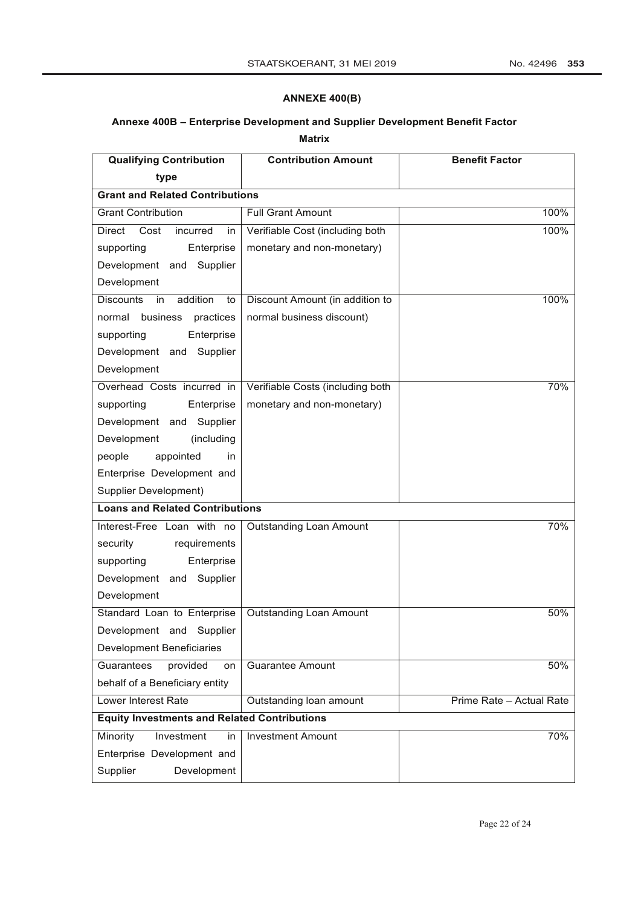### **ANNEXE 400(B)**

### **Annexe 400B – Enterprise Development and Supplier Development Benefit Factor**

**Matrix**

| <b>Qualifying Contribution</b>                      | <b>Contribution Amount</b>       | <b>Benefit Factor</b>    |  |
|-----------------------------------------------------|----------------------------------|--------------------------|--|
| type                                                |                                  |                          |  |
| <b>Grant and Related Contributions</b>              |                                  |                          |  |
| <b>Grant Contribution</b>                           | <b>Full Grant Amount</b>         | 100%                     |  |
| <b>Direct</b><br>Cost<br>incurred<br>in             | Verifiable Cost (including both  | 100%                     |  |
| supporting<br>Enterprise                            | monetary and non-monetary)       |                          |  |
| Development and<br>Supplier                         |                                  |                          |  |
| Development                                         |                                  |                          |  |
| addition<br><b>Discounts</b><br>in<br>to            | Discount Amount (in addition to  | 100%                     |  |
| business<br>normal<br>practices                     | normal business discount)        |                          |  |
| supporting<br>Enterprise                            |                                  |                          |  |
| Development and<br>Supplier                         |                                  |                          |  |
| Development                                         |                                  |                          |  |
| Overhead Costs incurred in                          | Verifiable Costs (including both | 70%                      |  |
| supporting<br>Enterprise                            | monetary and non-monetary)       |                          |  |
| Development and<br>Supplier                         |                                  |                          |  |
| Development<br>(including                           |                                  |                          |  |
| people<br>appointed<br>in                           |                                  |                          |  |
| Enterprise Development and                          |                                  |                          |  |
| <b>Supplier Development)</b>                        |                                  |                          |  |
| <b>Loans and Related Contributions</b>              |                                  |                          |  |
| Interest-Free Loan with no                          | <b>Outstanding Loan Amount</b>   | 70%                      |  |
| security<br>requirements                            |                                  |                          |  |
| Enterprise<br>supporting                            |                                  |                          |  |
| Development<br>Supplier<br>and                      |                                  |                          |  |
| Development                                         |                                  |                          |  |
| Standard Loan to Enterprise                         | <b>Outstanding Loan Amount</b>   | 50%                      |  |
| Development and<br>Supplier                         |                                  |                          |  |
| <b>Development Beneficiaries</b>                    |                                  |                          |  |
| Guarantees<br>provided<br>on                        | <b>Guarantee Amount</b>          | 50%                      |  |
| behalf of a Beneficiary entity                      |                                  |                          |  |
| Lower Interest Rate                                 | Outstanding loan amount          | Prime Rate - Actual Rate |  |
| <b>Equity Investments and Related Contributions</b> |                                  |                          |  |
| Investment<br>Minority<br>in                        | <b>Investment Amount</b>         | 70%                      |  |
| Enterprise Development and                          |                                  |                          |  |
| Supplier<br>Development                             |                                  |                          |  |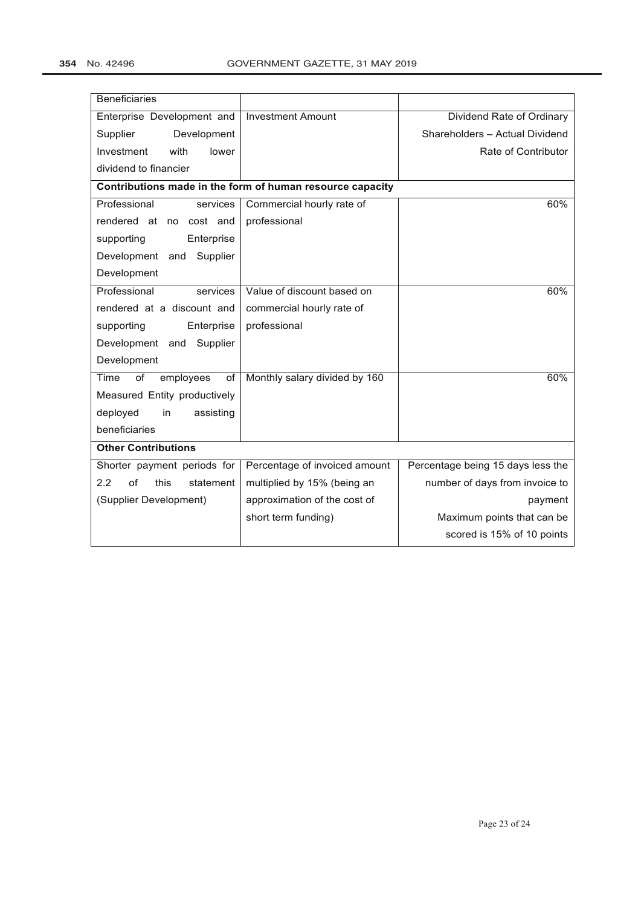| <b>Beneficiaries</b>           |                                                           |                                   |
|--------------------------------|-----------------------------------------------------------|-----------------------------------|
| Enterprise Development and     | <b>Investment Amount</b>                                  | Dividend Rate of Ordinary         |
| Supplier<br>Development        |                                                           | Shareholders - Actual Dividend    |
| with<br>Investment<br>lower    |                                                           | Rate of Contributor               |
| dividend to financier          |                                                           |                                   |
|                                | Contributions made in the form of human resource capacity |                                   |
| Professional<br>services       | Commercial hourly rate of                                 | 60%                               |
| rendered at<br>no cost and     | professional                                              |                                   |
| supporting<br>Enterprise       |                                                           |                                   |
| Development and<br>Supplier    |                                                           |                                   |
| Development                    |                                                           |                                   |
| Professional<br>services       | Value of discount based on                                | 60%                               |
| rendered at a discount and     | commercial hourly rate of                                 |                                   |
| Enterprise<br>supporting       | professional                                              |                                   |
| Development and<br>Supplier    |                                                           |                                   |
| Development                    |                                                           |                                   |
| of<br>Time<br>employees<br>of  | Monthly salary divided by 160                             | 60%                               |
| Measured Entity productively   |                                                           |                                   |
| deployed<br>assisting<br>in    |                                                           |                                   |
| beneficiaries                  |                                                           |                                   |
| <b>Other Contributions</b>     |                                                           |                                   |
| Shorter payment periods for    | Percentage of invoiced amount                             | Percentage being 15 days less the |
| 2.2<br>of<br>statement<br>this | multiplied by 15% (being an                               | number of days from invoice to    |
| (Supplier Development)         | approximation of the cost of                              | payment                           |
|                                | short term funding)                                       | Maximum points that can be        |
|                                |                                                           | scored is 15% of 10 points        |